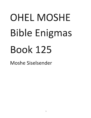## OHEL MOSHE Bible Enigmas Book 125

Moshe Siselsender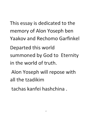This essay is dedicated to the memory of Alon Yoseph ben **Yaakov and Rechomo Garfinkel**  . **Departed this world**  summoned by God to Eternity **in the world of truth.**  Alon Yoseph will repose with

**all the tzadikim** 

**tachas kanfei hashchina .**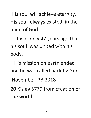His soul will achieve eternity. His soul always existed in the mind of God.

It was only 42 years ago that his soul was united with his body.

His mission on earth ended and he was called back by God

November 28,2018

20 Kislev 5779 from creation of the world.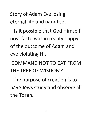Story of Adam Eve losing eternal life **and paradise.** 

Is it possible that God Himself post facto was in reality happy **of the outcome of Adam and eve violating His** 

COMMAND NOT TO **EAT FROM THE TREE OF WISDOM?** 

**The purpose of creation is to**  have Jews study and observe all **the Torah.**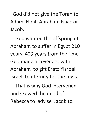God did not give the Torah to Adam Noah Abraham Isaac or Jacob.

God wanted the offspring of Abraham to suffer in Egypt 210 years. 400 years from the time God made a covenant with Abraham to gift Eretz Yisroel Israel to eternity for the Jews.

That is why God intervened and skewed the mind of Rebecca to advise Jacob to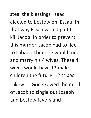steal the blessings Isaac elected to bestow on Essau. In that way Essau would plot to kill Jacob. In order to prevent this murder, Jacob had to flee to Laban. There he would meet and marry his 4 wives. These 4 wives would have 12 male children the future 12 tribes.

Likewise God skewed the mind of Jacob to single out Joseph and bestow favors and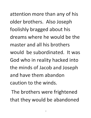attention more than any of his older brothers. Also Joseph foolishly bragged about his dreams where he would be the master and all his brothers would be subordinated. It was God who in reality hacked into the minds of Jacob and Joseph and have them abandon caution to the winds.

The brothers were frightened that they would be abandoned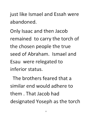just like Ismael and Essah were abandoned.

Only Isaac and then Jacob remained to carry the torch of the chosen people the true seed of Abraham. Ismael and Esau were relegated to inferior status.

The brothers feared that a similar end would adhere to them. That Jacob had designated Yoseph as the torch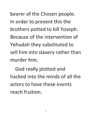bearer of the Chosen people. In order to prevent this the **brothers potted to kill Yoseph. Because of the intervention of**  Yehudah they substituted to sell him into slavery rather than **murder him.** 

**God really plotted and hacked into the minds of all the actors to have these events reach fruition.**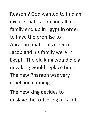Reason? God wanted to find an excuse that Jabob and all his family end up in Egypt in order to have the promise to Abraham materialize. Once Jacob and his family were in Egypt The old king would die a new king would replace him. The new Pharaoh was very cruel and cunning.

The new king decides to enslave the offspring of Jacob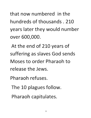that now numbered in the hundreds of thousands. 210 years later they would number over 600,000.

At the end of 210 years of suffering as slaves God sends Moses to order Pharaoh to release the Jews.

Pharaoh refuses.

- The 10 plagues follow.
- Pharaoh capitulates.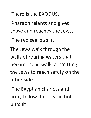**There is the EXODUS.** 

Pharaoh relents and gives **chase and reaches the Jews.** 

The red sea is split.

The Jews walk through the walls of roaring waters that become solid walls permitting the Jews to reach safety on the **other side .** 

The Egyptian chariots and army follow the Jews in hot **pursuit.**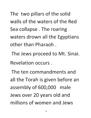The two pillars of the solid walls of the waters of the Red Sea collapse. The roaring waters drown all the Egyptians other than Pharaoh.

The Jews proceed to Mt. Sinai. Revelation occurs.

The ten commandments and all the Torah is given before an assembly of 600,000 male Jews over 20 years old and millions of women and Jews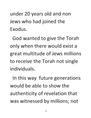under 20 years old and non Jews who had joined the **Exodus.** 

God wanted to give the Torah **only when there would exist a**  great multitude of Jews millions **to receive the Torah not single i nd ivid ua Is.** 

In this way future generations **would be able to show the**  authenticity of revelation that **was witnessed by millions; not**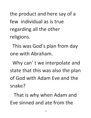the product and here say of a few individual as is true regarding all the other religions.

This was God's plan from day one with Abraham.

Why can't we interpolate and state that this was also the plan of God with Adam Eve and the snake?

That is why when Adam and Eve sinned and ate from the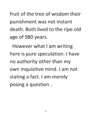fruit of the tree of wisdom their punishment was not instant death. Both lived to the ripe old age of 980 years.

However what I am writing here is pure speculation. I have no authority other than my own inquisitive mind. I am not stating a fact. I am merely posing a question.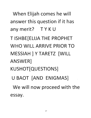When Elijah comes he will answer this question if it has any merit? T Y K U

T ISHBE[ELIJA THE PROPHET WHO WILL ARRIVE PRIOR TO MESSIAH | Y TARETZ [WILL ANSWER] KUSHOT[QUESTIONS] U BAOT [AND ENIGMAS] We will now proceed with the essay.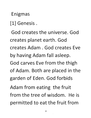## **Enigmas**

**[1] Genesis.** 

**God creates the universe. God**  creates planet earth. God **creates Adam. God creates Eve**  by having Adam fall asleep. . **God carves Eve from the thigh**  of Adam. Both are placed in the **garden of Eden. God forbids** 

Adam from eating the fruit **from the tree of wisdom. He is**  permitted to eat the fruit from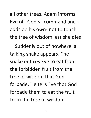all other trees. Adam informs Eve of God's command and adds on his own- not to touch the tree of wisdom lest she dies

Suddenly out of nowhere a talking snake appears. The snake entices Eve to eat from the forbidden fruit from the tree of wisdom that God forbade. He tells Eve that God forbade them to eat the fruit from the tree of wisdom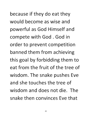because if they do eat they would become as wise and powerful as God Himself and compete with God. God in order to prevent competition banned them from achieving this goal by forbidding them to eat from the fruit of the tree of wisdom. The snake pushes Eve and she touches the tree of wisdom and does not die. The snake then convinces Eve that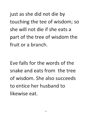just as she did not die by touching the tee of wisdom; so **she will not die if she eats a**  part of the tree of wisdom the **fruit or a branch.** 

**Eve falls for the words of the snake and eats from the tree of wisdom. She also succeeds to entice her husband to likewise eat.**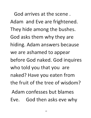**God arrives at the scene.**  Adam and Eve are frightened. They hide among the bushes. God asks them why they are **hiding. Adam answers because**  we are ashamed to appear before God naked. God inquires **who told you that you are**  naked? Have you eaten from **the fruit of the tree of wisdom? Adam confesses but blames**  Eve. God then asks eve why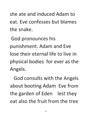**she ate and induced Adam to eat. Eve confesses but blames the snake.** 

God pronounces his punishment. Adam and Eve **lose their** eternal life **to live in**  physical bodies for ever as the **Angels.** 

**God consults with the Angels**  about booting Adam Eve from the garden of Eden lest they **eat also the fruit from the tree**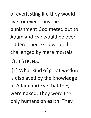of everlasting life they would live for ever. Thus the punishment God meted out to . Adam and Eve would be over ridden. Then God would be challenged by mere mortals.

QUESTIONS.

[1] What kind of great wisdom is displayed by the knowledge of Adam and Eve that they were naked. They were the only humans on earth. They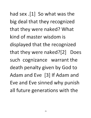had sex .[1] So what was the big deal that they recognized that they were naked? What kind of master wisdom is displayed that the recognized that they were naked?[2] Does such cognizance warrant the death penalty given by God to Adam and Eve [3] If Adam and Eve and Eve sinned why punish all future generations with the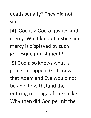death penalty? They did not sin.

[4] God is a God of justice and mercy. What kind of justice and mercy is displayed by such grotesque punishment?

[5] God also knows what is going to happen. God knew that Adam and Eve would not be able to withstand the enticing message of the snake. Why then did God permit the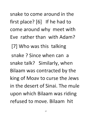snake to come around in the first place? [6] If he had to come around why meet with Eve rather than with Adam? [7] Who was this talking snake? Since when can a snake talk? Similarly, when Bilaam was contracted by the king of Moav to curse the Jews in the desert of Sinai. The mule upon which Bilaam was riding refused to move. Bilaam hit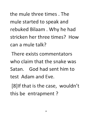the mule three times. The mule started to speak and rebuked Bilaam . Why he had stricken her three times? How can a mule talk?

There exists commentators who claim that the snake was Satan. God had sent him to test Adam and Eve.

[8]lf that is the case, wouldn't this be entrapment?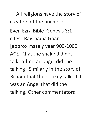All religions have the story of **creation of the universe.** 

**Even Ezra Bible Genesis 3:1 cites Rav Sadia Goan**  [approximately year 900-1000 **ACE] that the snake did not talk rather an angel did the talking. Similarly in the story of Bilaam that the donkey talked it**  was an Angel that did the talking. Other commentators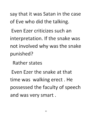**say that it was Satan in the case**  of Eve who did the talking.

**Even Ezer criticizes such an**  interpretation. If the snake was not involved why was the snake **punished?** 

**Rather states** 

**Even Ezer the snake at that time was walking erect. He**  possessed the faculty of speech and was very smart.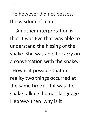He however did not possess the wisdom of man.

An other interpretation is that it was Eve that was able to understand the hissing of the snake. She was able to carryon a conversation with the snake.

How is it possible that in reality two things occurred at the same time? If it was the snake talking human language Hebrew- then why is it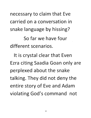necessary to claim that Eve **carried on a conversation in**  snake language by hissing?

**50 far we have four different scenarios.** 

It is crystal clear that Even **Ezra citing 5aadia Goan only are**  perplexed about the snake talking·. **They did not deny the**  entire story of Eve and Adam violating God's command not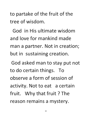to partake of the fruit of the tree of wisdom.

God in His ultimate wisdom and love for mankind made man a partner. Not in creation; but in sustaining creation.

God asked man to stay put not to do certain things. To observe a form of session of activity. Not to eat a certain fruit. Why that fruit? The reason remains a mystery.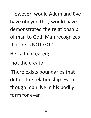**However, would Adam and Eve**  have obeyed they would have demonstrated the relationship **of man to God. Man recognizes that he is** NOT GOD.

**He is the created;** 

**not the creator.** 

**There exists boundaries that**  define the relationship. Even though man live in his bodily **form for ever;**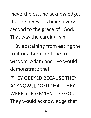nevertheless, he acknowledges that he owes his being every second to the grace of God. That was the cardinal sin.

By abstaining from eating the fruit or a branch of the tree of wisdom Adam and Eve would demonstrate that

THEY OBEYED BECAUSE THEY ACKNOWLEDGED THAT THEY WERE SUBSERVIENT TO GOD. They would acknowledge that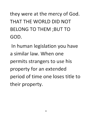## they were at the mercy of God. THAT THE WORLD DID NOT BELONG TO THEM ;BUT TO GOD.

In human legislation you have a similar law. When one permits strangers to use his property for an extended period of time one loses title to their property.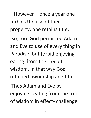However if once a year one **forbids the use of their**  property, one retains title.

**So, too. God permitted Adam and Eve to use of every thing in Paradise; but forbid enjoyingeating from the tree of wisdom. In that way God retained ownership and title.** 

Thus Adam and Eve by enjoying -eating from the tree of wisdom in effect- challenge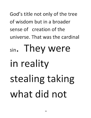God's title not only of the tree of wisdom but in a broader sense of creation of the universe. That was the cardinal

### sin. They were in reality stealing taking what did not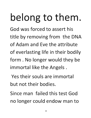### belong to them.

God was forced to assert his title by removing from the DNA of Adam and Eve the attribute of everlasting life in their bodily form. No longer would they be immortal like the Angels.

Yes their souls are immortal but not their bodies.

Since man failed this test God no longer could endow man to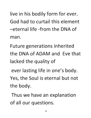live in his bodily form for ever. God had to curtail this element -eternal life -from the DNA of man.

Future generations inherited the DNA of ADAM and Eve that lacked the quality of

ever lasting life in one's body. Yes, the Soul is eternal but not the body.

Thus we have an explanation of all our questions.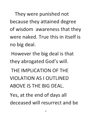They were punished not because they attained degree of wisdom awareness that they were naked. True this in itself is no big deal.

However the big deal is that they abrogated God's will.

THE IMPLICATION OF THE VIOLATION AS I OUTLINED ABOVE IS THE BIG DEAL.

Yes, at the end of days all deceased will resurrect and be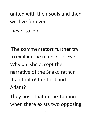united with their souls and then will live for ever never to die.

The commentators further try to explain the mindset of Eve. Why did she accept the narrative of the Snake rather than that of her husband Adam?

They posit that in the Talmud when there exists two opposing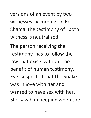versions of an event by two **witnesses according to Bet**  Shamai the testimony of both **witness is neutralized.** 

The person receiving the **testimony has to follow the law that exists without the benefit of human testimony. Eve suspected that the Snake was in love with her and wanted to have sex with her.**  She saw him peeping when she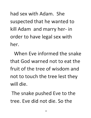had sex with Adam. She suspected that he wanted to kill Adam and marry her- in order to have legal sex with her.

When Eve informed the snake that God warned not to eat the fruit of the tree of wisdom and not to touch the tree lest they will die.

The snake pushed Eve to the tree. Eve did not die. So the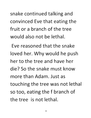snake continued talking and convinced Eve that eating the fruit or a branch of the tree would also not be lethal.

Eve reasoned that the snake loved her. Why would he push her to the tree and have her die? So the snake must know more than Adam. Just as touching the tree was not lethal so too, eating the f branch of the tree is not lethal.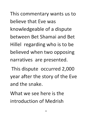This commentary wants us to believe that Eve was knowledgeable of a dispute between Bet Shamai and Bet Hillel regarding who is to be believed when two opposing narratives are presented.

This dispute occurred 2,000 year after the story of the Eve and the snake.

What we see here is the introduction of Medrish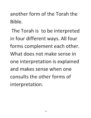**another form of the Torah the Bible.** 

The Torah is to be interpreted in four different ways. All four forms complement each other. **What does not make sense in one interpretation is explained and makes sense when one consults the other forms of interpretation.**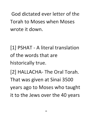God dictated ever letter of the Torah to Moses when Moses wrote it down.

[1] PSHAT - A literal translation of the words that are historically true. [2] HALLACHA- The Oral Torah. That was given at Sinai 3500 years ago to Moses who taught it to the Jews over the 40 years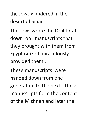**the Jews wandered in the desert of Sinai.** 

**The Jews wrote the Oral torah**  down on manuscripts that they brought with them from Egypt or God miraculously **provided them.** 

These manuscripts were **handed down from one generation to the next. These**  manuscripts form the content **of the Mishnah and later the**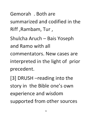**Gemorah . Both are summarized and codified in the Riff ,Rambam, Tur ,** 

**Shulcha Aruch - Bais Yoseph and Ramo with all commentators.** New **cases are**  interpreted in the light of prior **precedent.** 

[3] DRUSH -reading into the story in the Bible one's own experience and wisdom supported from other sources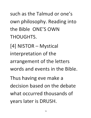such as the Talmud or one's own philosophy. Reading into the Bible ONE'S OWN THOUGHTS.

[4] NISTOR - Mystical interpretation of the arrangement of the letters words and events in the Bible.

Thus having eve make a decision based on the debate what occurred thousands of years later is DRUSH.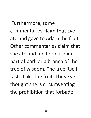**Furthermore, some commentaries claim that Eve**  ate and gave to Adam the fruit. **Other commentaries claim that she ate and fed her husband part of bark or a branch of the tree of wisdom. The tree itself tasted like the fruit. Thus Eve**  thought she is circumventing the prohibition that forbade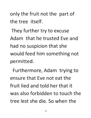only the fruit not the part of the tree itself.

They further try to excuse Adam that he trusted Eve and had no suspicion that she would feed him something not permitted.

Furthermore, Adam trying to ensure that Eve not eat the fruit lied and told her that it was also forbidden to touch the tree lest she die. So when the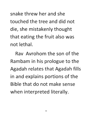snake threw her and she touched the tree and did not die, she mistakenly thought that eating the fruit also was not lethal.

Rav Avrohom the son of the Rambam in his prologue to the Agadah relates that Agadah fills in and explains portions of the Bible that do not make sense when interpreted literally.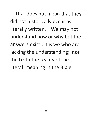That does not mean that they did not historically occur as literally written. We may not understand how or why but the answers exist; It is we who are lacking the understanding; not the truth the reality of the literal meaning in the Bible.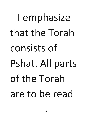## I emphasize that the Torah consists of Pshat. All parts of the Torah are to be read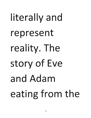# literally and **represent reality.** The **story of Eve and** Adam **eating** from **the**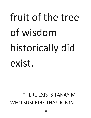### fruit of the tree of wisdom historically did exist.

#### THERE EXISTS TANAYIM WHO SUSCRIBE THAT JOB IN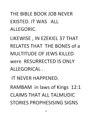#### THE BIBLE BOOK JOB NEVER EXISTED. IT WAS ALL ALLEGORIC.

LIKEWISE, IN EZEKIEL 37 THAT RELATES THAT THE BONES of a MULTITUDE OF JEWS KILLED were RESURRECTED IS ONLY ALLEGORICAL.

IT NEVER HAPPENED. RAMBAM in laws of Kings 12:1 CLAIMS THAT ALL TALMUDIC STORIES PROPHESISING SIGNS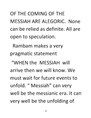OF THE COMING OF THE MESSIAH ARE ALEGORIC. None can be relied as definite. All are open to speculation.

Rambam makes a very pragmatic statement

"WHEN the MESSIAH will arrive then we will know. We must wait for future events to unfold. " Messiah" can very well be the messianic era. It can very well be the unfolding of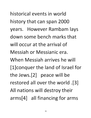historical events in world history that can span 2000 years. However Rambam lays down some bench marks that will occur at the arrival of Messiah or Messianic era. When Messiah arrives he will [l]conquer the land of Israel for the Jews.[2] peace will be restored all over the world .[3] All nations will destroy their arms[4] all financing for arms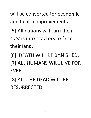will be converted for economic and health improvements.

[5] All nations will turn their spears into tractors to farm their land.

[6] DEATH WILL BE BANISHED. [7] ALL HUMANS WILL LIVE FOR EVER.

[8] ALL THE DEAD WILL BE RESURRECTED.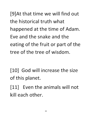[9]At that time we will find out the historical truth what happened at the time of Adam. Eve and the snake and the eating of the fruit or part of the tree of the tree of wisdom.

[10] God will increase the size of this planet.

[11] Even the animals will not kill each other.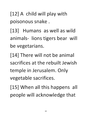[12] A child will play with poisonous snake.

[13] Humans as well as wild animals- lions tigers bear will be vegetarians.

[14] There will not be animal sacrifices at the rebuilt Jewish temple in Jerusalem. Only vegeta ble sacrifices.

[15] When all this happens all people will acknowledge that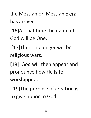the Messiah or Messianic era has arrived.

[16]At that time the name of God will be One.

[17]There no longer will be religious wars.

[18] God will then appear and pronounce how He is to worshipped.

[19]The purpose of creation is to give honor to God.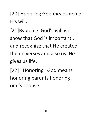[20] Honoring God means doing **His will.** 

[21]By doing God's will we show that God is important. **and recognize that He created the universes and also us. He gives us life.** 

**[22] Honoring God means honoring parents honoring**  one's spouse.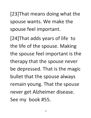[23]That means doing what the **spouse wants. We make the**  spouse feel important.

[24]That adds years of life to the life of the spouse. Making the spouse feel important is the **therapy that the spouse never** ' **be depressed. That is the magic**  bullet that the spouse always remain young. That the spouse never get Alzheimer disease. See my book #55.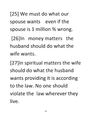[25] We must do what our spouse wants even if the spouse is 1 million % wrong.

[26]ln money matters the husband should do what the wife wants.

[27]ln spiritual matters the wife should do what the husband wants providing it is according to the law. No one should violate the law wherever they live.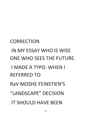#### IN MY ESSAY WHO IS WISE ONE WHO SEES THE FUTURE. I MADE A TYPO. WHEN I REFERRED TO RaV MOSHE FEINSTIEN'S "LANDSCAPE" DECISION IT SHOULD HAVE BEEN

**CORRECTION**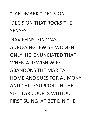"LANDMARK" DECISION. DECISION THAT ROCKS THE SENSES.

RAV FEINSTEIN WAS ADRESSING JEWISH WOMEN ONLY. HE ENUNCIATED THAT WHEN A JEWISH WIFE ABANDONS THE MARITAL HOME AND SUES FOR ALIMONY AND CHILD SUPPORT IN THE SECULAR COURTS WITHOUT FIRST SUING AT BET DIN THE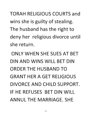TORAH RELIGIOUS COURTS and wins she is guilty of stealing. The husband has the right to deny her religious divorce until she return.

ONLY WHEN SHE SUES AT BET DIN AND WINS WILL BET DIN ORDER THE HUSBAND TO GRANT HER A GET RELIGIOUS DIVORCE AND CHILD SUPPORT. IF HE REFUSES BET DIN WILL ANNUL THE MARRIAGE. SHE